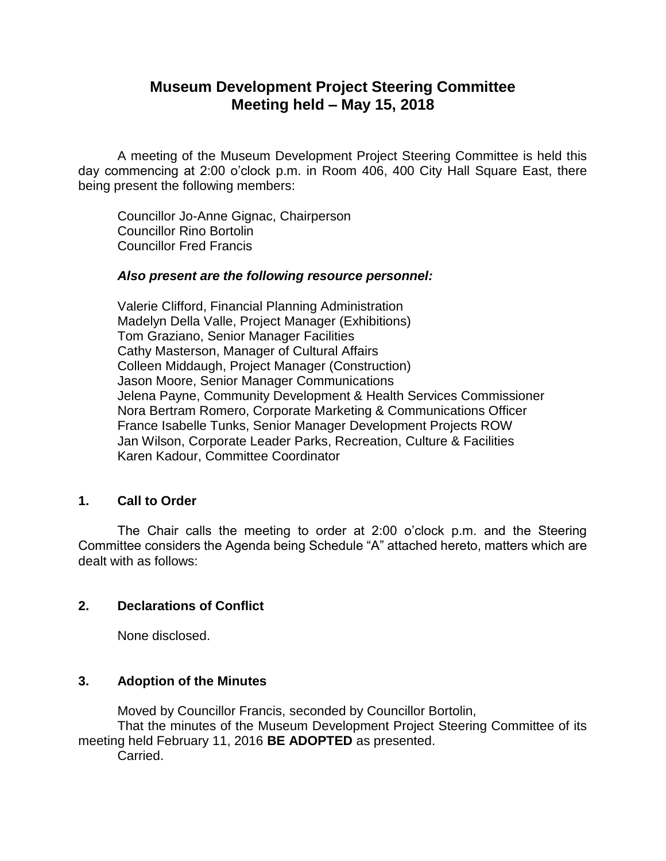# **Museum Development Project Steering Committee Meeting held – May 15, 2018**

A meeting of the Museum Development Project Steering Committee is held this day commencing at 2:00 o'clock p.m. in Room 406, 400 City Hall Square East, there being present the following members:

Councillor Jo-Anne Gignac, Chairperson Councillor Rino Bortolin Councillor Fred Francis

#### *Also present are the following resource personnel:*

Valerie Clifford, Financial Planning Administration Madelyn Della Valle, Project Manager (Exhibitions) Tom Graziano, Senior Manager Facilities Cathy Masterson, Manager of Cultural Affairs Colleen Middaugh, Project Manager (Construction) Jason Moore, Senior Manager Communications Jelena Payne, Community Development & Health Services Commissioner Nora Bertram Romero, Corporate Marketing & Communications Officer France Isabelle Tunks, Senior Manager Development Projects ROW Jan Wilson, Corporate Leader Parks, Recreation, Culture & Facilities Karen Kadour, Committee Coordinator

#### **1. Call to Order**

The Chair calls the meeting to order at 2:00 o'clock p.m. and the Steering Committee considers the Agenda being Schedule "A" attached hereto, matters which are dealt with as follows:

## **2. Declarations of Conflict**

None disclosed.

## **3. Adoption of the Minutes**

Moved by Councillor Francis, seconded by Councillor Bortolin, That the minutes of the Museum Development Project Steering Committee of its meeting held February 11, 2016 **BE ADOPTED** as presented. Carried.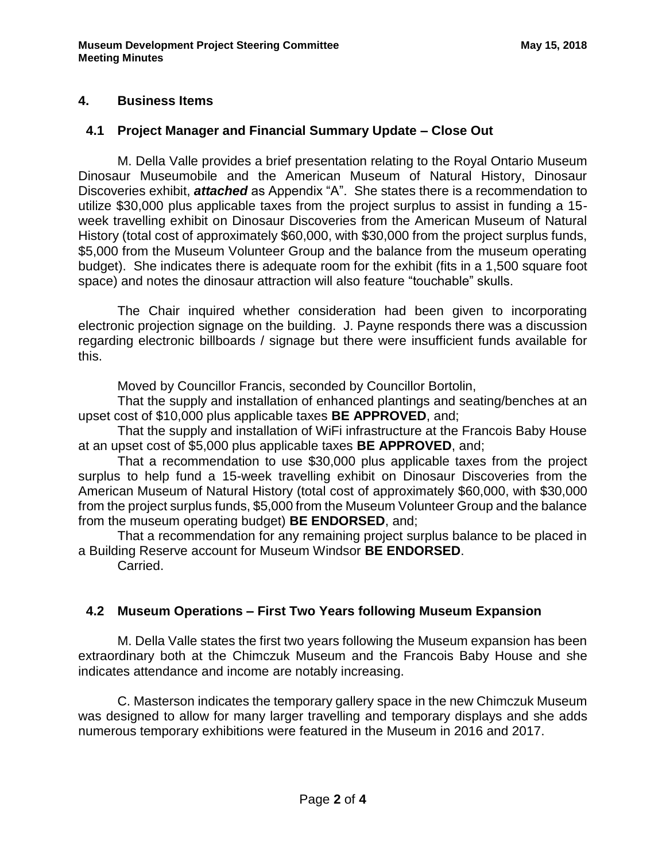## **4. Business Items**

## **4.1 Project Manager and Financial Summary Update – Close Out**

M. Della Valle provides a brief presentation relating to the Royal Ontario Museum Dinosaur Museumobile and the American Museum of Natural History, Dinosaur Discoveries exhibit, *attached* as Appendix "A". She states there is a recommendation to utilize \$30,000 plus applicable taxes from the project surplus to assist in funding a 15 week travelling exhibit on Dinosaur Discoveries from the American Museum of Natural History (total cost of approximately \$60,000, with \$30,000 from the project surplus funds, \$5,000 from the Museum Volunteer Group and the balance from the museum operating budget). She indicates there is adequate room for the exhibit (fits in a 1,500 square foot space) and notes the dinosaur attraction will also feature "touchable" skulls.

The Chair inquired whether consideration had been given to incorporating electronic projection signage on the building. J. Payne responds there was a discussion regarding electronic billboards / signage but there were insufficient funds available for this.

Moved by Councillor Francis, seconded by Councillor Bortolin,

That the supply and installation of enhanced plantings and seating/benches at an upset cost of \$10,000 plus applicable taxes **BE APPROVED**, and;

That the supply and installation of WiFi infrastructure at the Francois Baby House at an upset cost of \$5,000 plus applicable taxes **BE APPROVED**, and;

That a recommendation to use \$30,000 plus applicable taxes from the project surplus to help fund a 15-week travelling exhibit on Dinosaur Discoveries from the American Museum of Natural History (total cost of approximately \$60,000, with \$30,000 from the project surplus funds, \$5,000 from the Museum Volunteer Group and the balance from the museum operating budget) **BE ENDORSED**, and;

That a recommendation for any remaining project surplus balance to be placed in a Building Reserve account for Museum Windsor **BE ENDORSED**.

Carried.

## **4.2 Museum Operations – First Two Years following Museum Expansion**

M. Della Valle states the first two years following the Museum expansion has been extraordinary both at the Chimczuk Museum and the Francois Baby House and she indicates attendance and income are notably increasing.

C. Masterson indicates the temporary gallery space in the new Chimczuk Museum was designed to allow for many larger travelling and temporary displays and she adds numerous temporary exhibitions were featured in the Museum in 2016 and 2017.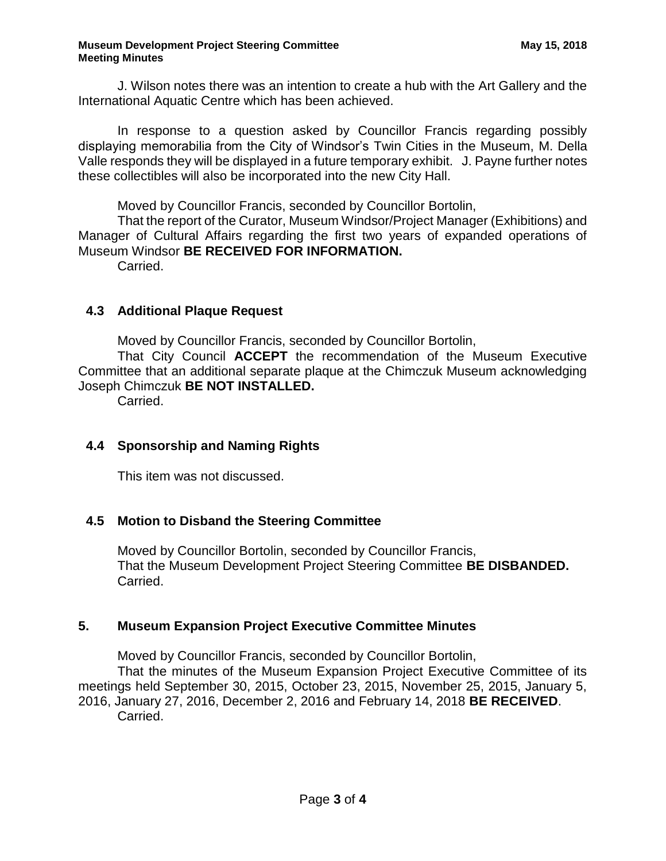#### **Museum Development Project Steering Committee <b>May 15, 2018** May 15, 2018 **Meeting Minutes**

J. Wilson notes there was an intention to create a hub with the Art Gallery and the International Aquatic Centre which has been achieved.

In response to a question asked by Councillor Francis regarding possibly displaying memorabilia from the City of Windsor's Twin Cities in the Museum, M. Della Valle responds they will be displayed in a future temporary exhibit. J. Payne further notes these collectibles will also be incorporated into the new City Hall.

Moved by Councillor Francis, seconded by Councillor Bortolin,

That the report of the Curator, Museum Windsor/Project Manager (Exhibitions) and Manager of Cultural Affairs regarding the first two years of expanded operations of Museum Windsor **BE RECEIVED FOR INFORMATION.**

Carried.

## **4.3 Additional Plaque Request**

Moved by Councillor Francis, seconded by Councillor Bortolin,

That City Council **ACCEPT** the recommendation of the Museum Executive Committee that an additional separate plaque at the Chimczuk Museum acknowledging Joseph Chimczuk **BE NOT INSTALLED.**

Carried.

## **4.4 Sponsorship and Naming Rights**

This item was not discussed.

## **4.5 Motion to Disband the Steering Committee**

Moved by Councillor Bortolin, seconded by Councillor Francis, That the Museum Development Project Steering Committee **BE DISBANDED.** Carried.

## **5. Museum Expansion Project Executive Committee Minutes**

Moved by Councillor Francis, seconded by Councillor Bortolin,

That the minutes of the Museum Expansion Project Executive Committee of its meetings held September 30, 2015, October 23, 2015, November 25, 2015, January 5, 2016, January 27, 2016, December 2, 2016 and February 14, 2018 **BE RECEIVED**. Carried.